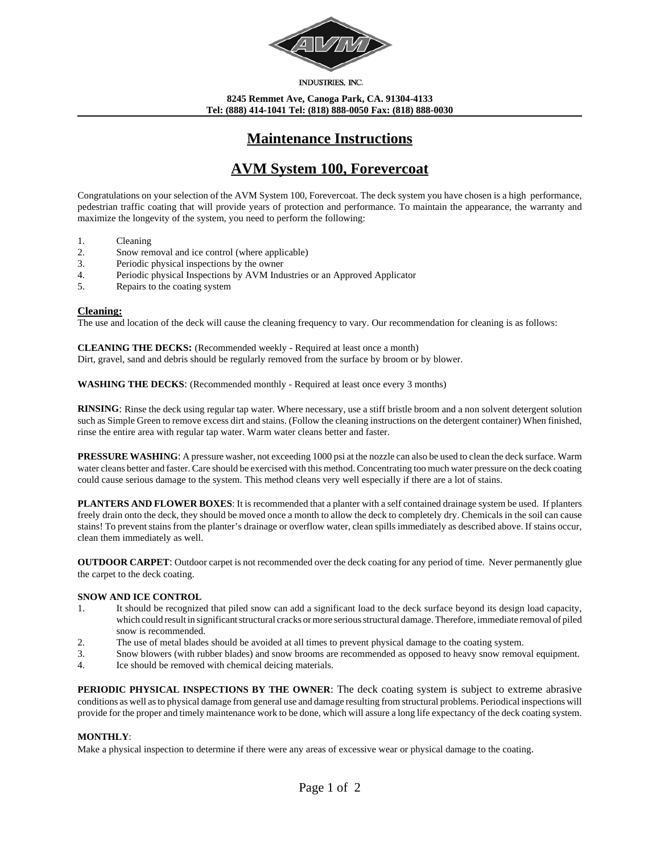

INDUSTRIES, INC.

**8245 Remmet Ave, Canoga Park, CA. 91304-4133 Tel: (888) 414-1041 Tel: (818) 888-0050 Fax: (818) 888-0030**

# **Maintenance Instructions**

# **AVM System 100, Forevercoat**

Congratulations on your selection of the AVM System 100, Forevercoat. The deck system you have chosen is a high performance, pedestrian traffic coating that will provide years of protection and performance. To maintain the appearance, the warranty and maximize the longevity of the system, you need to perform the following:

- 1. Cleaning
- 2. Snow removal and ice control (where applicable)
- 3. Periodic physical inspections by the owner
- 4. Periodic physical Inspections by AVM Industries or an Approved Applicator
- 5. Repairs to the coating system

#### **Cleaning:**

The use and location of the deck will cause the cleaning frequency to vary. Our recommendation for cleaning is as follows:

**CLEANING THE DECKS:** (Recommended weekly - Required at least once a month) Dirt, gravel, sand and debris should be regularly removed from the surface by broom or by blower.

**WASHING THE DECKS**: (Recommended monthly - Required at least once every 3 months)

**RINSING**: Rinse the deck using regular tap water. Where necessary, use a stiff bristle broom and a non solvent detergent solution such as Simple Green to remove excess dirt and stains. (Follow the cleaning instructions on the detergent container) When finished, rinse the entire area with regular tap water. Warm water cleans better and faster.

**PRESSURE WASHING**: A pressure washer, not exceeding 1000 psi at the nozzle can also be used to clean the deck surface. Warm water cleans better and faster. Care should be exercised with this method. Concentrating too much water pressure on the deck coating could cause serious damage to the system. This method cleans very well especially if there are a lot of stains.

**PLANTERS AND FLOWER BOXES**: It is recommended that a planter with a self contained drainage system be used. If planters freely drain onto the deck, they should be moved once a month to allow the deck to completely dry. Chemicals in the soil can cause stains! To prevent stains from the planter's drainage or overflow water, clean spills immediately as described above. If stains occur, clean them immediately as well.

**OUTDOOR CARPET**: Outdoor carpet is not recommended over the deck coating for any period of time. Never permanently glue the carpet to the deck coating.

#### **SNOW AND ICE CONTROL**

- 1. It should be recognized that piled snow can add a significant load to the deck surface beyond its design load capacity, which could result in significant structural cracks or more serious structural damage. Therefore, immediate removal of piled snow is recommended.
- 2. The use of metal blades should be avoided at all times to prevent physical damage to the coating system.
- 3. Snow blowers (with rubber blades) and snow brooms are recommended as opposed to heavy snow removal equipment.
- 4. Ice should be removed with chemical deicing materials.

**PERIODIC PHYSICAL INSPECTIONS BY THE OWNER**: The deck coating system is subject to extreme abrasive conditions as well as to physical damage from general use and damage resulting from structural problems. Periodical inspections will provide for the proper and timely maintenance work to be done, which will assure a long life expectancy of the deck coating system.

## **MONTHLY**:

Make a physical inspection to determine if there were any areas of excessive wear or physical damage to the coating.